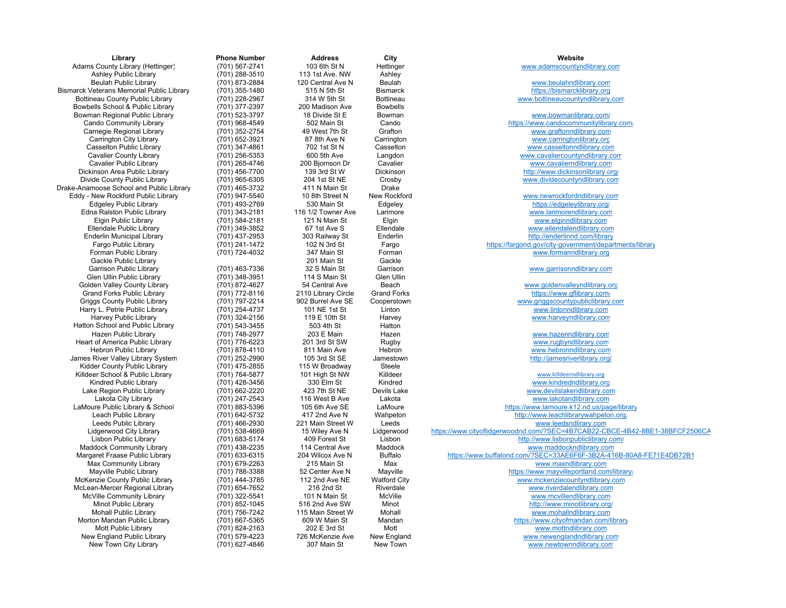| Library                                          | <b>Phone Number</b> | <b>Address</b>      | City                | Website                                                  |
|--------------------------------------------------|---------------------|---------------------|---------------------|----------------------------------------------------------|
| Adams County Library (Hettinger)                 | (701) 567-2741      | 103 6th St N        | Hettinger           | www.adamscountyndlibrary.com                             |
| <b>Ashley Public Library</b>                     | (701) 288-3510      | 113 1st Ave, NW     | Ashley              |                                                          |
| <b>Beulah Public Library</b>                     | (701) 873-2884      | 120 Central Ave N   | Beulah              | www.beulahndlibrary.com                                  |
| <b>Bismarck Veterans Memorial Public Library</b> | (701) 355-1480      | 515 N 5th St        | <b>Bismarck</b>     | https://bismarcklibrary.org                              |
| Bottineau County Public Library                  | (701) 228-2967      | 314 W 5th St        | <b>Bottineau</b>    | www.bottineaucountyndlibrary.com                         |
| Bowbells School & Public Library                 | (701) 377-2397      | 200 Madison Ave     | <b>Bowbells</b>     |                                                          |
| Bowman Regional Public Library                   | (701) 523-3797      | 18 Divide St E      | Bowman              | www.bowmanlibrary.com/                                   |
| Cando Community Library                          | (701) 968-4549      | 502 Main St         | Cando               | https://www.candocommunitylibrary.cor                    |
| Carnegie Regional Library                        | (701) 352-2754      | 49 West 7th St      | Grafton             | www.graftonndlibrary.com                                 |
| Carrington City Library                          | (701) 652-3921      | 87 8th Ave N        | Carrington          | www.carringtonlibrary.org                                |
| <b>Casselton Public Library</b>                  | (701) 347-4861      | 702 1st St N        | Casselton           | www.casseltonndlibrary.com                               |
| <b>Cavalier County Library</b>                   | (701) 256-5353      | 600 5th Ave         | Langdon             | www.cavaliercountyndlibrary.com                          |
| Cavalier Public Library                          | (701) 265-4746      | 200 Bjornson Dr     | Cavalier            | www.cavalierndlibrary.com                                |
| Dickinson Area Public Library                    |                     | 139 3rd St W        | Dickinson           | http://www.dickinsonlibrary.org/                         |
|                                                  | (701) 456-7700      |                     |                     |                                                          |
| Divide County Public Library                     | (701) 965-6305      | 204 1st St NE       | Crosby              | www.dividecountyndlibrary.com                            |
| Drake-Anamoose School and Public Library         | (701) 465-3732      | 411 N Main St       | Drake               |                                                          |
| Eddy - New Rockford Public Library               | (701) 947-5540      | 10 8th Street N     | New Rockford        | www.newrockfordndlibrary.com                             |
| <b>Edgeley Public Library</b>                    | (701) 493-2769      | 530 Main St         | Edgeley             | https://edgeleylibrary.org/                              |
| Edna Ralston Public Library                      | (701) 343-2181      | 116 1/2 Towner Ave  | Larimore            | www.larimorendlibrary.com                                |
| <b>Elgin Public Library</b>                      | (701) 584-2181      | 121 N Main St       | Elgin               | www.elginndlibrary.com                                   |
| Ellendale Public Library                         | (701) 349-3852      | 67 1st Ave S        | Ellendale           | www.ellendalendlibrary.com                               |
| Enderlin Municipal Library                       | (701) 437-2953      | 303 Railway St      | Enderlin            | http://enderlinnd.com/library                            |
| Fargo Public Library                             | (701) 241-1472      | 102 N 3rd St        | Fargo               | https://farqond.gov/city-government/departmen            |
| Forman Public Library                            | (701) 724-4032      | 347 Main St         | Forman              | www.formanndlibrary.org                                  |
| Gackle Public Library                            |                     | 201 Main St         | Gackle              |                                                          |
| <b>Garrison Public Library</b>                   | (701) 463-7336      | 32 S Main St        | Garrison            | www.garrisonndlibrary.com                                |
| Glen Ullin Public Library                        | (701) 348-3951      | 114 S Main St       | <b>Glen Ullin</b>   |                                                          |
| Golden Valley County Library                     | (701) 872-4627      | 54 Central Ave      | Beach               | www.goldenvalleyndlibrary.org                            |
| Grand Forks Public Library                       | (701) 772-8116      | 2110 Library Circle | <b>Grand Forks</b>  | https://www.gflibrary.com/                               |
| <b>Griggs County Public Library</b>              | (701) 797-2214      | 902 Burrel Ave SE   | Cooperstown         | www.griggscountypubliclibrary.com                        |
| Harry L. Petrie Public Library                   | (701) 254-4737      | 101 NE 1st St       | Linton              | www.lintonndlibrary.com                                  |
| <b>Harvey Public Library</b>                     | (701) 324-2156      | 119 E 10th St       | Harvey              | www.harveyndlibrary.com                                  |
|                                                  |                     |                     |                     |                                                          |
| Hatton School and Public Library                 | (701) 543-3455      | 503 4th St          | Hatton              |                                                          |
| Hazen Public Library                             | (701) 748-2977      | 203 E Main          | Hazen               | www.hazenndlibrary.com                                   |
| Heart of America Public Library                  | (701) 776-6223      | 201 3rd St SW       | Rugby               | www.rugbyndlibrary.com                                   |
| <b>Hebron Public Library</b>                     | (701) 878-4110      | 811 Main Ave        | Hebron              | www.hebronndlibrary.com                                  |
| James River Valley Library System                | (701) 252-2990      | 105 3rd St SE       | Jamestown           | http://jamesriverlibrary.org/                            |
| Kidder County Public Library                     | (701) 475-2855      | 115 W Broadway      | <b>Steele</b>       |                                                          |
| Killdeer School & Public Library                 | (701) 764-5877      | 101 High St NW      | Killdeer            | www.killdeerndlibrary.org                                |
| Kindred Public Library                           | (701) 428-3456      | 330 Elm St          | Kindred             | www.kindredndlibrary.org                                 |
| Lake Region Public Library                       | (701) 662-2220      | 423 7th St NE       | Devils Lake         | www.devilslakendlibrary.com                              |
| Lakota City Library                              | (701) 247-2543      | 116 West B Ave      | Lakota              | www.lakotandlibrary.com                                  |
| LaMoure Public Library & School                  | (701) 883-5396      | 105 6th Ave SE      | LaMoure             | https://www.lamoure.k12.nd.us/page/libr                  |
| Leach Public Library                             | (701) 642-5732      | 417 2nd Ave N       | Wahpeton            | http://www.leachlibrarywahpeton.org/                     |
| Leeds Public Library                             | (701) 466-2930      | 221 Main Street W   | Leeds               | www.leedsndlirary.com                                    |
| Lidgerwood City Library                          | (701) 538-4669      | 15 Wiley Ave N      | Lidgerwood          | https://www.cityoflidgerwoodnd.com/?SEC=4B7CAB22-CBCE-4I |
| Lisbon Public Library                            | (701) 683-5174      | 409 Forest St       | Lisbon              | http://www.lisbonpubliclibrary.com/                      |
| <b>Maddock Community Library</b>                 | (701) 438-2235      | 114 Central Ave     | Maddock             | www.maddockndlibrary.com                                 |
| Margaret Fraase Public Library                   | (701) 633-6315      | 204 Wilcox Ave N    | <b>Buffalo</b>      | https://www.buffalond.com/?SEC=33AE6F6F-3B2A-416B-8      |
| Max Community Library                            | (701) 679-2263      | 215 Main St         | Max                 | www.maxndlibrary.com                                     |
| Mayville Public Library                          | (701) 788-3388      | 52 Center Ave N     | Mayville            | https://www.mayvilleportland.com/librar                  |
| McKenzie County Public Library                   | (701) 444-3785      | 112 2nd Ave NE      | <b>Watford City</b> | www.mckenziecountyndlibrary.com                          |
| McLean-Mercer Regional Library                   | (701) 654-7652      | 216 2nd St          | Riverdale           | www.riverdalendlibrary.com                               |
| McVille Community Library                        | (701) 322-5541      | 101 N Main St       | McVille             | www.mcvillendlibrary.com                                 |
|                                                  |                     |                     |                     |                                                          |
| Minot Public Library                             | (701) 852-1045      | 516 2nd Ave SW      | Minot               | http://www.minotlibrary.org/                             |
| Mohall Public Library                            | (701) 756-7242      | 115 Main Street W   | Mohall              | www.mohalIndlibrary.com                                  |
| Morton Mandan Public Library                     | (701) 667-5365      | 609 W Main St       | Mandan              | https://www.cityofmandan.com/library                     |
| Mott Public Library                              | (701) 824-2163      | 202 E 3rd St        | Mott                | www.mottndlibrary.com                                    |
| New England Public Library                       | (701) 579-4223      | 726 McKenzie Ave    | New England         | www.newenglandndlibrary.com                              |
| New Town City Library                            | (701) 627-4846      | 307 Main St         | New Town            | www.newtownndlibrary.com                                 |

**Library Phone Number Address City Website** Adams County Library (Hettinger) (701) 567-2741 103 6th St N Hettinger <u>www.adamscountyndlibrary.com</u> Beulah Public Library (701) 873-2884 120 Central Ave N Beulah <u>www.beulahndlibrary.com</u> Bottineau County Public Library (701) 228-2967 314 W 5th St Bottineau <u>www.bottineaucountyndlibrary.com</u> The Summan Regional Public Library (701) 523-3797 18 Divide St E Bowman West E Bowman www.bowmanlibrary.com/<br>1998-4549 1992 Main St Cando Cando https://www.candocommunitylibra 502 Main St Cando Cando Cando https://www.candocommunitylibrary.com/ Carnegie Regional Library (701) 352-2754 49 West 7th St Grafton <u>www.graftonndlibrary.com</u> Carrington City Library (701) 652-3921 87 8th Ave N Carrington City Communication www.carringtonlibrary.org Casselton Public Library (701) 347-4861 702 1st St N Casselton <u>www.casseltonndlibrary.com</u> Cavalier County Library (701) 256-5353 600 5th Ave Langdon Cavalier www.cavaliercountyndlibrary.com Cavalier Public Library (701) 265-4746 200 Bjornson Dr Cavalier <u>www.cavalierndlibrary.com</u> Dickinson Area Public Library (701) 456-7700 139 3rd St W Dickinson Number 2011 1597/www.dickinsonlibrary.org/ Divide County Public Library (701) 965-6305 204 1st St NE Crosby <u>www.dividecountyndlibrary.com</u> er and the Sammun Control of the Sammun Control of the Sammun Control of the Sammun Control of the Sammun Control of the Sammun Control of the Sammun Control of the Sammun Control of the Sammun Control of the Sammun Contro Edna Ralston Public Library (701) 343-2181 116 1/2 Towner Ave Larimore <u>www.larimorendlibrary.com</u> Elgin Public Library (701) 584-2181 121 N Main St Elgin Number 2012 121 Number 2014 Ellendale Public Library (701) 349-3852 67 1st Ave S Ellendale www.ellendalendlibrary.com Enderlin Municipal Library (701) 437-2953 303 Railway St Enderlin http://enderlinnd.com/library Fargo Public Library (701) 241-1472 102 N 3rd St Fargo https://fargond.gov/city-government/departments/library Forman Public Library (701) 724-4032 347 Main St Forman www.formanndlibrary.org Garrison Public Library (701) 463-7336 32 S Main St Garrison <u>www.garrisonndlibrary.com</u> (701) 872-4627 54 Central Ave Beach Beach www.golden valleyndlibrary.org<br>(701) 772-8116 2110 Library Circle Grand Forks buttos://www.gfilbrary.com/ (701) 772-8116 2110 Library Circle Grand Forks https://www.gfilibrary.com/<br>1997-2214 902 Burrel Ave SE Cooperstown https://www.griggscountypubliclibrary.com/ Griggs County Public Library (701) 797-2214 902 Burrel Ave SE Cooperstown <u>www.griggscountypubliclibrary.com</u> Harvey Public Library (701) 324-2156 119 E 10th St Harvey www.harveyndlibrary.co mHazen Public Library (701) 748-2977 203 E Main Hazen <u>www.hazenndlibrary.com</u> Hebron Public Library (701) 878-4110 811 Main Ave Hebron Hebron New Www.hebronndlibrary.com m (701) 252-2990 105 3rd St SE Jamestown http://jamesriverlibrary.org/ (701) 764-5877 101 High St NW Killdeer Number 2011 1976-101 Number 2012<br>1930 Elm St Kindred Kindred Washington www.kindredndlibrary.org Kindred Public Library (701) 428-3456 330 Elm St Kindred www.kindredndlibrary.org Lake Region Public Library (701) 662-2220 423 7th St NE Devils Lake <u>www.devilslakendlibrary.com</u> Lakota City Library (701) 247-2543 116 West B Ave Lakota City Library.com LaMoure Public Library & School (701) 883-5396 105 6th Ave SE LaMoure <u>https://www.lamoure.k12.nd.us/page/library</u> reach Public Library 417 2nd Ave N Wahpeton Muslim http://www.leachlibrarywahpeton.org/ Leeds Public Library (701) 466-2930 221 Main Street W Leeds <u>www.leedsndlirary.com</u> Lidgerwood City Library **15 Access 15 Wiley Ave N** Lidgerwood https://www.cityoflidgerwoodnd.com/?SEC=4B7CAB22-CBCE-4B42-8BE1-38BFCF2506CA er and the Maddock City of Library (101) 683-5174 409 Forest St Lisbon Library Communications of Library.com/<br>114 Central Ave Maddock www.maddockndlibrary.com/ Maddock Community Library (701) 438-2235 114 Central Ave Maddock <u>www.maddockndlibrary.com</u> Margaret Fraase Public Library (701) 633-6315 204 Wilcox Ave N Buffalo <u>https://www.buffalond.com/?SEC=33AE6F6F-3B2A-416B-80A8-FE71E4DB72B1</u> Max Community Library (701) 679-2263 215 Main St Max <u>www.maxndlibrary.com</u> Mayville Public Library **198** 1970 1978-3388 52 Center Ave N Mayville **Mayville** https://www.mayvilleportland.com/library/ McKenzie County Public Library (701) 444-3785 112 2nd Ave NE Watford City <u>www.mckenziecountyndlibrary.com</u> McVille Community Library (701) 322-5541 101 N Main St McVille New Wood Community Library.com